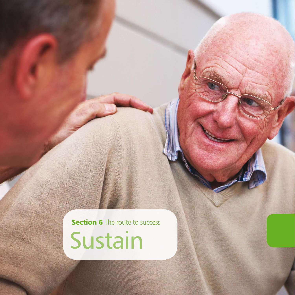**Section 6** The route to success

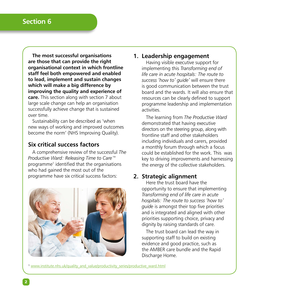**The most successful organisations are those that can provide the right organisational context in which frontline staff feel both empowered and enabled to lead, implement and sustain changes which will make a big difference by improving the quality and experience of care.** This section along with section 7 about large scale change can help an organisation successfully achieve change that is sustained over time.

Sustainability can be described as 'when new ways of working and improved outcomes become the norm' (NHS Improving Quality).

## **Six critical success factors**

A comprehensive review of the successful *The Productive Ward: Releasing Time to Care™*  programme1 identified that the organisations who had gained the most out of the programme have six critical success factors:



## **1. Leadership engagement**

Having visible executive support for implementing this *Transforming end of life care in acute hospitals: The route to success 'how to' guide'* will ensure there is good communication between the trust board and the wards. It will also ensure that resources can be clearly defined to support programme leadership and implementation activities.

The learning from *The Productive Ward* demonstrated that having executive directors on the steering group, along with frontline staff and other stakeholders including individuals and carers, provided a monthly forum through which a focus could be established for the work. This was key to driving improvements and harnessing the energy of the collective stakeholders.

### **2. Strategic alignment**

Here the trust board have the opportunity to ensure that implementing *Transforming end of life care in acute hospitals: The route to success 'how to' guide* is amongst their top five priorities and is integrated and aligned with other priorities supporting choice, privacy and dignity by raising standards of care.

The trust board can lead the way in supporting staff to build on existing evidence and good practice, such as the AMBER care bundle and the Rapid Discharge Home.

<sup>1</sup> [www.institute.nhs.uk/quality\\_and\\_value/productivity\\_series/productive\\_ward.html](www.institute.nhs.uk/quality_and_value/productivity_series/productive_ward.html)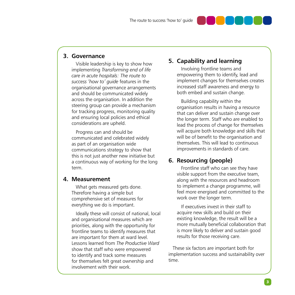

Visible leadership is key to show how implementing *Transforming end of life care in acute hospitals: The route to success 'how to' guide* features in the organisational governance arrangements and should be communicated widely across the organisation. In addition the steering group can provide a mechanism for tracking progress, monitoring quality and ensuring local policies and ethical considerations are upheld.

Progress can and should be communicated and celebrated widely as part of an organisation wide communications strategy to show that this is not just another new initiative but a continuous way of working for the long term.

#### **4. Measurement**

What gets measured gets done. Therefore having a simple but comprehensive set of measures for everything we do is important.

Ideally these will consist of national, local and organisational measures which are priorities, along with the opportunity for frontline teams to identify measures that are important for them at ward level. Lessons learned from *The Productive Ward* show that staff who were empowered to identify and track some measures for themselves felt great ownership and involvement with their work.

# **5. Capability and learning**

Involving frontline teams and empowering them to identify, lead and implement changes for themselves creates increased staff awareness and energy to both embed and sustain change.

Building capability within the organisation results in having a resource that can deliver and sustain change over the longer term. Staff who are enabled to lead the process of change for themselves will acquire both knowledge and skills that will be of benefit to the organisation and themselves. This will lead to continuous improvements in standards of care.

## **6. Resourcing (people)**

Frontline staff who can see they have visible support from the executive team, along with the resources and headroom to implement a change programme, will feel more energised and committed to the work over the longer term.

If executives invest in their staff to acquire new skills and build on their existing knowledge, the result will be a more mutually beneficial collaboration that is more likely to deliver and sustain good results for those receiving care.

These six factors are important both for implementation success and sustainability over time.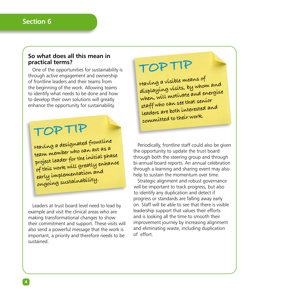#### **So what does all this mean in practical terms?**

One of the opportunities for sustainability is through active engagement and ownership of frontline leaders and their teams from the beginning of the work. Allowing teams to identify what needs to be done and how to develop their own solutions will greatly enhance the opportunity for sustainability.

# **TOP TIP**

**Having a designated frontline team member who can act as a project leader for the initial phase of this work will greatly enhance early implementation and ongoing sustainability.**

Leaders at trust board level need to lead by example and visit the clinical areas who are making transformational changes to show their commitment and support. These visits will also send a powerful message that the work is important, a priority and therefore needs to be sustained.

# **TOP TIP**

**Having a visible means of displaying visits, by whom and when, will motivate and energise staff who can see that senior leaders are both interested and committed to their work.**

Periodically, frontline staff could also be given the opportunity to update the trust board through both the steering group and through bi-annual board reports. An annual celebration through a learning and sharing event may also help to sustain the momentum over time.

Strategic alignment and robust governance will be important to track progress, but also to identify any duplication and detect if progress or standards are falling away early on. Staff will be able to see that there is visible leadership support that values their efforts and is looking all the time to smooth their improvement journey by increasing alignment and eliminating waste, including duplication of effort.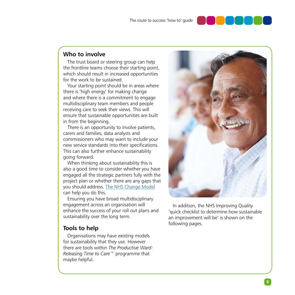

# **Who to involve**

The trust board or steering group can help the frontline teams choose their starting point, which should result in increased opportunities for the work to be sustained.

Your starting point should be in areas where there is 'high energy' for making change and where there is a commitment to engage multidisciplinary team members and people receiving care to seek their views. This will ensure that sustainable opportunities are built in from the beginning.

There is an opportunity to involve patients. carers and families, data analysts and commissioners who may want to include your new service standards into their specifications. This can also further enhance sustainability going forward.

When thinking about sustainability this is also a good time to consider whether you have engaged all the strategic partners fully with the project plan or whether there are any gaps that you should address. [The NHS Change Model](http://www.nhsiq.nhs.uk/capacity-capability/nhs-change-model.aspx) can help you do this.

Ensuring you have broad multidisciplinary engagement across an organisation will enhance the success of your roll out plans and sustainability over the long term.

## **Tools to help**

Organisations may have existing models for sustainability that they use. However there are tools within *The Productive Ward: Releasing Time to Care™* programme that maybe helpful.



In addition, the NHS Improving Quality 'quick checklist to determine how sustainable an improvement will be' is shown on the following pages.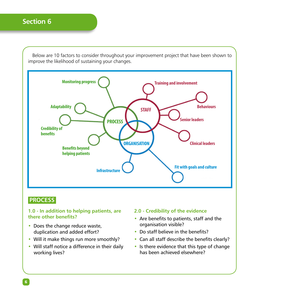Below are 10 factors to consider throughout your improvement project that have been shown to improve the likelihood of sustaining your changes.



## **PROCESS**

#### **1.0 - In addition to helping patients, are there other benefits?**

- Does the change reduce waste, duplication and added effort?
- Will it make things run more smoothly?
- Will staff notice a difference in their daily working lives?

#### **2.0 - Credibility of the evidence**

- Are benefits to patients, staff and the organisation visible?
- Do staff believe in the benefits?
- Can all staff describe the benefits clearly?
- Is there evidence that this type of change has been achieved elsewhere?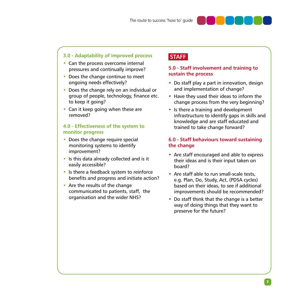### **3.0 - Adaptability of improved process**

- Can the process overcome internal pressures and continually improve?
- Does the change continue to meet ongoing needs effectively?
- Does the change rely on an individual or group of people, technology, finance etc. to keep it going?
- Can it keep going when these are removed?

#### **4.0 - Effectiveness of the system to monitor progress**

- Does the change require special monitoring systems to identify improvement?
- Is this data already collected and is it easily accessible?
- Is there a feedback system to reinforce benefits and progress and initiate action?
- Are the results of the change communicated to patients, staff, the organisation and the wider NHS?

# **STAFF**

#### **5.0 - Staff involvement and training to sustain the process**

- Do staff play a part in innovation, design and implementation of change?
- Have they used their ideas to inform the change process from the very beginning?
- Is there a training and development infrastructure to identify gaps in skills and knowledge and are staff educated and trained to take change forward?

#### **6.0 - Staff behaviours toward sustaining the change**

- Are staff encouraged and able to express their ideas and is their input taken on board?
- Are staff able to run small-scale tests, e.g. Plan, Do, Study, Act, (PDSA cycles) based on their ideas, to see if additional improvements should be recommended?
- Do staff think that the change is a better way of doing things that they want to preserve for the future?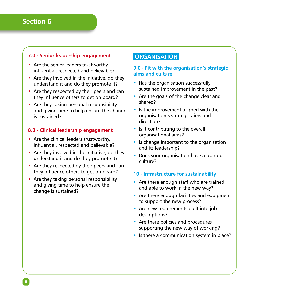#### **7.0 - Senior leadership engagement**

- Are the senior leaders trustworthy, influential, respected and believable?
- Are they involved in the initiative, do they understand it and do they promote it?
- Are they respected by their peers and can they influence others to get on board?
- Are they taking personal responsibility and giving time to help ensure the change is sustained?

#### **8.0 - Clinical leadership engagement**

- Are the clinical leaders trustworthy. influential, respected and believable?
- Are they involved in the initiative, do they understand it and do they promote it?
- Are they respected by their peers and can they influence others to get on board?
- Are they taking personal responsibility and giving time to help ensure the change is sustained?

# **ORGANISATION**

#### **9.0 - Fit with the organisation's strategic aims and culture**

- Has the organisation successfully sustained improvement in the past?
- Are the goals of the change clear and shared?
- Is the improvement aligned with the organisation's strategic aims and direction?
- Is it contributing to the overall organisational aims?
- Is change important to the organisation and its leadership?
- Does your organisation have a 'can do' culture?

#### **10 - Infrastructure for sustainability**

- Are there enough staff who are trained and able to work in the new way?
- Are there enough facilities and equipment to support the new process?
- Are new requirements built into job descriptions?
- Are there policies and procedures supporting the new way of working?
- Is there a communication system in place?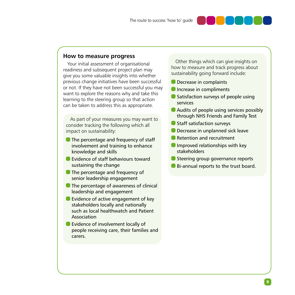

Your initial assessment of organisational readiness and subsequent project plan may give you some valuable insights into whether previous change initiatives have been successful or not. If they have not been successful you may want to explore the reasons why and take this learning to the steering group so that action can be taken to address this as appropriate.

As part of your measures you may want to consider tracking the following which all impact on sustainability:

- **The percentage and frequency of staff** involvement and training to enhance knowledge and skills
- **Evidence of staff behaviours toward** sustaining the change
- **The percentage and frequency of** senior leadership engagement
- **O** The percentage of awareness of clinical leadership and engagement
- **Evidence of active engagement of key** stakeholders locally and nationally such as local healthwatch and Patient Association
- **Exidence of involvement locally of** people receiving care, their families and carers.

Other things which can give insights on how to measure and track progress about sustainability going forward include:

- **Decrease in complaints**
- **Increase in compliments**
- Satisfaction surveys of people using services
- **Audits of people using services possibly** through NHS Friends and Family Test
- **Staff satisfaction surveys**
- **O** Decrease in unplanned sick leave
- Retention and recruitment
- $\blacksquare$  Improved relationships with key stakeholders
- Steering group governance reports
- Bi-annual reports to the trust board.